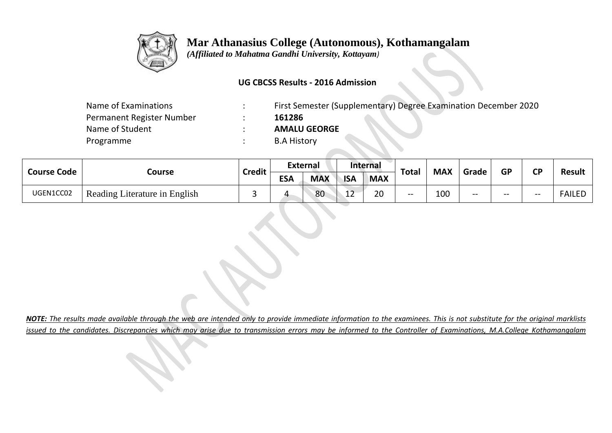

 *(Affiliated to Mahatma Gandhi University, Kottayam)*

#### **UG CBCSS Results - 2016 Admission**

| Name of Examinations      | First Semester (Supplementary) Degree Examination December 2020 |
|---------------------------|-----------------------------------------------------------------|
| Permanent Register Number | 161286                                                          |
| Name of Student           | <b>AMALU GEORGE</b>                                             |
| Programme                 | <b>B.A History</b>                                              |
|                           |                                                                 |

| <b>Course Code</b> |                               | <b>Credit</b> |            | <b>External</b> |              | Internal   | <b>Total</b> | <b>MAX</b> |       | <b>GP</b> | <b>CD</b> | <b>Result</b> |
|--------------------|-------------------------------|---------------|------------|-----------------|--------------|------------|--------------|------------|-------|-----------|-----------|---------------|
|                    | Course                        |               | <b>ESA</b> | <b>MAX</b>      | <b>ISA</b>   | <b>MAX</b> |              |            | Grade |           |           |               |
| UGEN1CC02          | Reading Literature in English | ــ            |            | 80              | $\sim$<br>ᅩᅩ | 20<br>∠∪   | $- -$        | 100        | $- -$ | $- -$     | $- -$     | <b>FAILED</b> |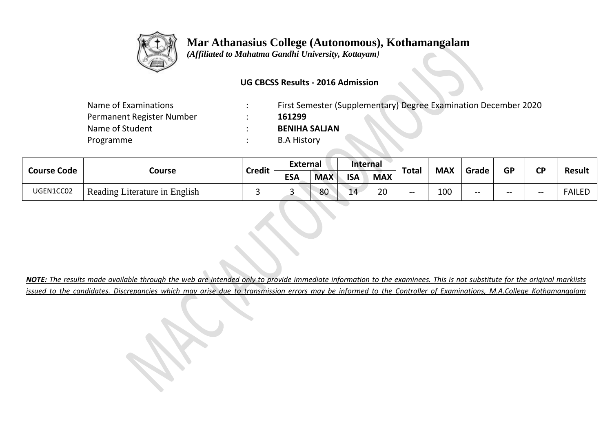

 *(Affiliated to Mahatma Gandhi University, Kottayam)*

#### **UG CBCSS Results - 2016 Admission**

| Name of Examinations      | First Semester (Supplementary) Degree Examination December 2020 |
|---------------------------|-----------------------------------------------------------------|
| Permanent Register Number | 161299                                                          |
| Name of Student           | <b>BENIHA SALIAN</b>                                            |
| Programme                 | <b>B.A History</b>                                              |
|                           |                                                                 |

| <b>Course Code</b><br>Course |                               |               | <b>External</b> |            | Internal   |            |              |            |       |           | <b>CD</b> |               |
|------------------------------|-------------------------------|---------------|-----------------|------------|------------|------------|--------------|------------|-------|-----------|-----------|---------------|
|                              |                               | <b>Credit</b> | <b>ESA</b>      | <b>MAX</b> | <b>ISA</b> | <b>MAX</b> | <b>Total</b> | <b>MAX</b> | Grade | <b>GP</b> |           | <b>Result</b> |
| UGEN1CC02                    | Reading Literature in English |               |                 | 80         | 14         | 20         | $- -$        | 100        | $- -$ | $- -$     | $-$       | <b>FAILED</b> |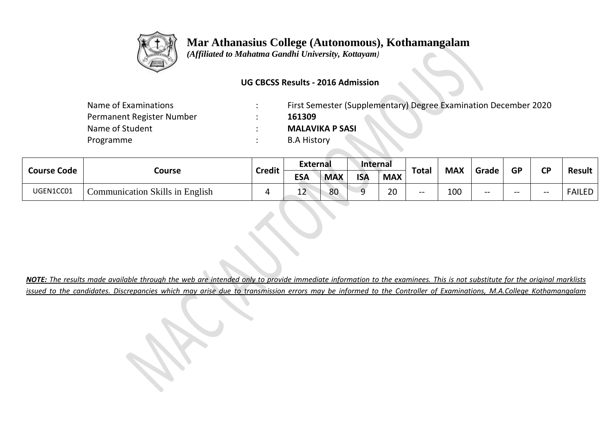

 *(Affiliated to Mahatma Gandhi University, Kottayam)*

#### **UG CBCSS Results - 2016 Admission**

| Name of Examinations      | First Semester (Supplementary) Degree Examination December 2020 |
|---------------------------|-----------------------------------------------------------------|
| Permanent Register Number | 161309                                                          |
| Name of Student           | <b>MALAVIKA P SASI</b>                                          |
| Programme                 | <b>B.A History</b>                                              |
|                           |                                                                 |

| <b>Course Code</b> |                                 | <b>Credit</b> | <b>External</b>                                      |              |            | <b>Internal</b>          |           |           |               |       |       |               |
|--------------------|---------------------------------|---------------|------------------------------------------------------|--------------|------------|--------------------------|-----------|-----------|---------------|-------|-------|---------------|
|                    | Course                          |               | <b>ESA</b><br><b>ISA</b><br><b>MAX</b><br><b>MAX</b> | <b>Total</b> | <b>MAX</b> | Grade                    | <b>GP</b> | <b>CP</b> | <b>Result</b> |       |       |               |
| UGEN1CC01          | Communication Skills in English |               | 1ີ<br>--                                             | 80           | Ω          | $\mathcal{D} \cap$<br>ZU | $- -$     | 100       | $- -$         | $- -$ | $- -$ | <b>FAILED</b> |